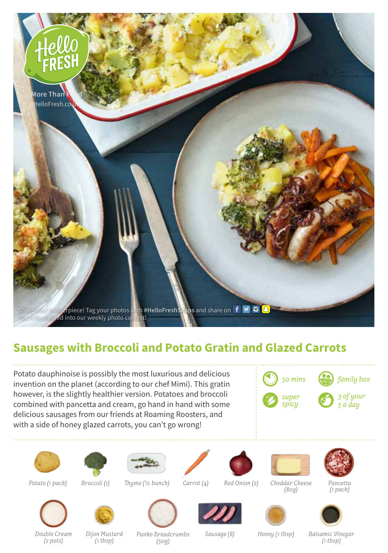

## **Sausages with Broccoli and Potato Gratin and Glazed Carrots**

Potato dauphinoise is possibly the most luxurious and delicious invention on the planet (according to our chef Mimi). This gratin however, is the slightly healthier version. Potatoes and broccoli combined with pancetta and cream, go hand in hand with some delicious sausages from our friends at Roaming Roosters, and with a side of honey glazed carrots, you can't go wrong!



*50 mins family box*









*Thyme (1/2 bunch)*



*Red Onion (2)*



*Pancetta (1 pack)*



*Carrot (4)*



*(80g)*



*Double Cream (2 pots) Dijon Mustard (1 tbsp)*

*Panko Breadcrumbs (50g)*

*Sausage (8) Honey (1 tbsp) Balsamic Vinegar*

*(1 tbsp)*